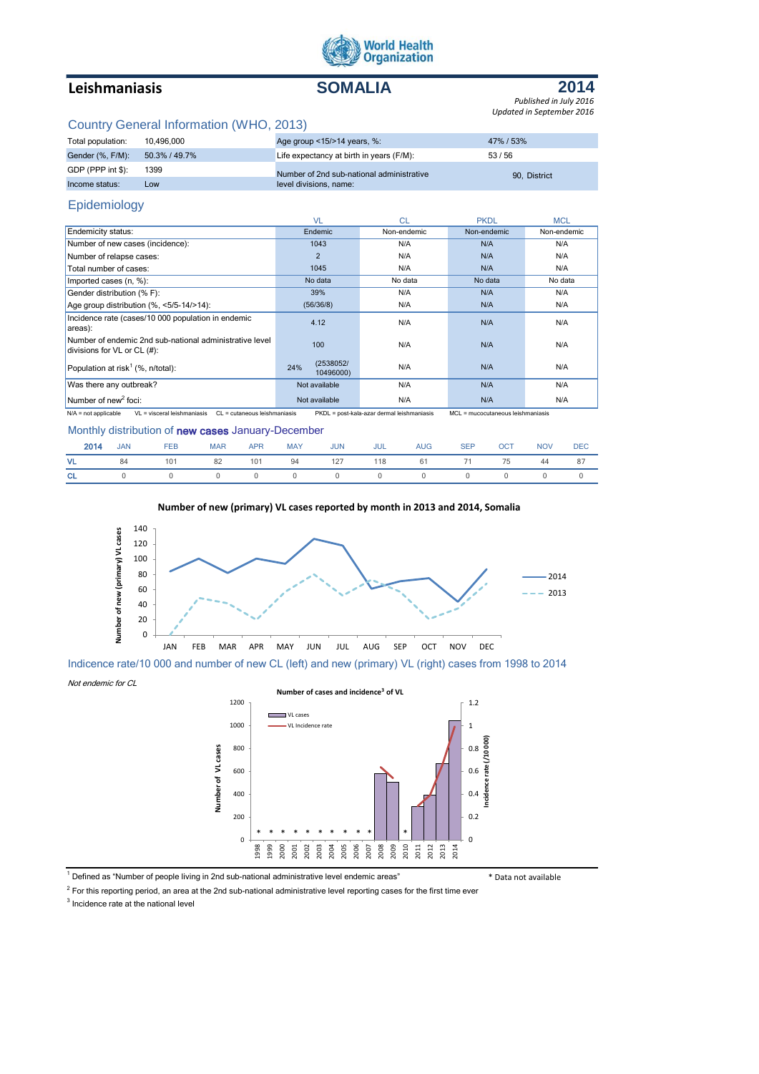

# **Leishmaniasis SOMALIA**



*Updated in September 2016 Published in July 2016*

## Country General Information (WHO, 2013)

| 10.496.000    | 47% / 53%                                                                                                                                       |
|---------------|-------------------------------------------------------------------------------------------------------------------------------------------------|
| 50.3% / 49.7% | 53/56                                                                                                                                           |
| 1399          | 90. District                                                                                                                                    |
| Low           |                                                                                                                                                 |
|               | Age group <15/>>14 years, %:<br>Life expectancy at birth in years (F/M):<br>Number of 2nd sub-national administrative<br>level divisions, name: |

# Epidemiology

|                                                                                            | <b>VL</b>                     | <b>CL</b>   | <b>PKDL</b> | <b>MCL</b>  |
|--------------------------------------------------------------------------------------------|-------------------------------|-------------|-------------|-------------|
| Endemicity status:                                                                         | Endemic                       | Non-endemic | Non-endemic | Non-endemic |
| Number of new cases (incidence):                                                           | 1043                          | N/A         | N/A         | N/A         |
| Number of relapse cases:                                                                   | $\overline{2}$                | N/A         | N/A         | N/A         |
| Total number of cases:                                                                     | 1045                          | N/A         | N/A         | N/A         |
| Imported cases (n, %):                                                                     | No data                       | No data     | No data     | No data     |
| Gender distribution (% F):                                                                 | 39%                           | N/A         | N/A         | N/A         |
| Age group distribution $(\% \, <5/5-14/>14)$ :                                             | (56/36/8)                     | N/A         | N/A         | N/A         |
| Incidence rate (cases/10 000 population in endemic<br>areas):                              | 4.12                          | N/A         | N/A         | N/A         |
| Number of endemic 2nd sub-national administrative level<br>divisions for $VL$ or $CL$ (#): | 100                           | N/A         | N/A         | N/A         |
| Population at risk <sup>1</sup> (%, $n$ /total):                                           | (2538052/<br>24%<br>10496000) | N/A         | N/A         | N/A         |
| Was there any outbreak?                                                                    | Not available                 | N/A         | N/A         | N/A         |
| Number of new <sup>2</sup> foci:                                                           | Not available                 | N/A         | N/A         | N/A         |

N/A = not applicable VL = visceral leishmaniasis CL = cutaneous leishmaniasis PKDL = post-kala-azar dermal leishmaniasis MCL = mucocutaneous leishmaniasis

## Monthly distribution of new cases January-December

| <b>2014</b> JAN FEB                        |  |  |  | MAR APR MAY JUN JUL AUG SEP OCT NOV DEC |  |  |
|--------------------------------------------|--|--|--|-----------------------------------------|--|--|
| VL 84 101 82 101 94 127 118 61 71 75 44 87 |  |  |  |                                         |  |  |
| CL 0 0 0 0 0 0 0 0 0 0 0 0 0               |  |  |  |                                         |  |  |

### **Number of new (primary) VL cases reported by month in 2013 and 2014, Somalia**



Indicence rate/10 000 and number of new CL (left) and new (primary) VL (right) cases from 1998 to 2014

Not endemic for CL

**Number of cases and incidence<sup>3</sup> of VL**



<sup>1</sup> Defined as "Number of people living in 2nd sub-national administrative level endemic areas" **\*** Nata not available

 $2$  For this reporting period, an area at the 2nd sub-national administrative level reporting cases for the first time ever

Number of VL cases

<sup>3</sup> Incidence rate at the national level